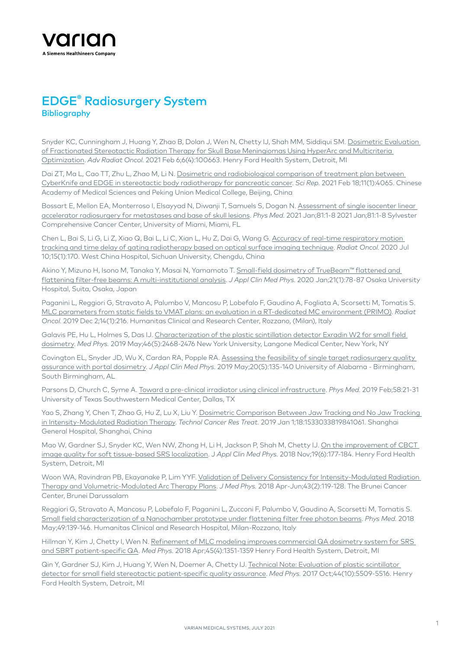

## EDGE® Radiosurgery System **Bibliography**

Snyder KC, Cunningham J, Huang Y, Zhao B, Dolan J, Wen N, Chetty IJ, Shah MM, Siddiqui SM. [Dosimetric Evaluation](https://pubmed.ncbi.nlm.nih.gov/33997481/)  [of Fractionated Stereotactic Radiation Therapy for Skull Base Meningiomas Using HyperArc and Multicriteria](https://pubmed.ncbi.nlm.nih.gov/33997481/)  [Optimization](https://pubmed.ncbi.nlm.nih.gov/33997481/). *Adv Radiat Oncol.* 2021 Feb 6;6(4):100663. Henry Ford Health System, Detroit, MI

Dai ZT, Ma L, Cao TT, Zhu L, Zhao M, Li N. [Dosimetric and radiobiological comparison of treatment plan between](https://nam11.safelinks.protection.outlook.com/?url=https%3A%2F%2Fpubmed.ncbi.nlm.nih.gov%2F33603030%2F&data=04%7C01%7CAva.Lalancette%40varian.com%7Ca1f73b0d351646cccf6e08d93c0cdc81%7Cc49d9c494b114ccdb13772f88c68a252%7C1%7C0%7C637606848236281281%7CUnknown%7CTWFpbGZsb3d8eyJWIjoiMC4wLjAwMDAiLCJQIjoiV2luMzIiLCJBTiI6Ik1haWwiLCJXVCI6Mn0%3D%7C1000&sdata=cN38kXufWS1HVleNCeU1%2FtflgPB2z2qw2RDWhIp%2B23g%3D&reserved=0)  [CyberKnife and EDGE in stereotactic body radiotherapy for pancreatic cancer.](https://nam11.safelinks.protection.outlook.com/?url=https%3A%2F%2Fpubmed.ncbi.nlm.nih.gov%2F33603030%2F&data=04%7C01%7CAva.Lalancette%40varian.com%7Ca1f73b0d351646cccf6e08d93c0cdc81%7Cc49d9c494b114ccdb13772f88c68a252%7C1%7C0%7C637606848236281281%7CUnknown%7CTWFpbGZsb3d8eyJWIjoiMC4wLjAwMDAiLCJQIjoiV2luMzIiLCJBTiI6Ik1haWwiLCJXVCI6Mn0%3D%7C1000&sdata=cN38kXufWS1HVleNCeU1%2FtflgPB2z2qw2RDWhIp%2B23g%3D&reserved=0) *Sci Rep.* 2021 Feb 18;11(1):4065. Chinese Academy of Medical Sciences and Peking Union Medical College, Beijing, China

Bossart E, Mellon EA, Monterroso I, Elsayyad N, Diwanji T, Samuels S, Dogan N. Assessment of single isocenter linear [accelerator radiosurgery for metastases and base of skull lesions.](https://pubmed.ncbi.nlm.nih.gov/33278764/) *Phys Med.* 2021 Jan;81:1-8 2021 Jan;81:1-8 Sylvester Comprehensive Cancer Center, University of Miami, Miami, FL

Chen L, Bai S, Li G, Li Z, Xiao Q, Bai L, Li C, Xian L, Hu Z, Dai G, Wang G. Accuracy of real-time respiratory motion [tracking and time delay of gating radiotherapy based on optical surface imaging technique.](https://pubmed.ncbi.nlm.nih.gov/32650819/) *Radiat Oncol.* 2020 Jul 10;15(1):170. West China Hospital, Sichuan University, Chengdu, China

Akino Y, Mizuno H, Isono M, Tanaka Y, Masai N, Yamamoto T. [Small-field dosimetry of TrueBeam™ flattened and](https://pubmed.ncbi.nlm.nih.gov/31816176/)  [flattening filter-free beams: A multi-institutional analysis.](https://pubmed.ncbi.nlm.nih.gov/31816176/) *J Appl Clin Med Phys.* 2020 Jan;21(1):78-87 Osaka University Hospital, Suita, Osaka, Japan

Paganini L, Reggiori G, Stravato A, Palumbo V, Mancosu P, Lobefalo F, Gaudino A, Fogliata A, Scorsetti M, Tomatis S. [MLC parameters from static fields to VMAT plans: an evaluation in a RT-dedicated MC environment \(PRIMO\).](https://pubmed.ncbi.nlm.nih.gov/31791355/) *Radiat Oncol.* 2019 Dec 2;14(1):216. Humanitas Clinical and Research Center, Rozzano, (Milan), Italy

Galavis PE, Hu L, Holmes S, Das IJ. [Characterization of the plastic scintillation detector Exradin W2 for small field](https://pubmed.ncbi.nlm.nih.gov/30897221/)  [dosimetry.](https://pubmed.ncbi.nlm.nih.gov/30897221/) *Med Phys.* 2019 May;46(5):2468-2476 New York University, Langone Medical Center, New York, NY

Covington EL, Snyder JD, Wu X, Cardan RA, Popple RA. [Assessing the feasibility of single target radiosurgery quality](https://pubmed.ncbi.nlm.nih.gov/30933414/)  [assurance with portal dosimetry](https://pubmed.ncbi.nlm.nih.gov/30933414/). *J Appl Clin Med Phys.* 2019 May;20(5):135-140 University of Alabama - Birmingham, South Birmingham, AL

Parsons D, Church C, Syme A. [Toward a pre-clinical irradiator using clinical infrastructure](https://pubmed.ncbi.nlm.nih.gov/30824146/). *Phys Med.* 2019 Feb;58:21-31 University of Texas Southwestern Medical Center, Dallas, TX

Yao S, Zhang Y, Chen T, Zhao G, Hu Z, Lu X, Liu Y. [Dosimetric Comparison Between Jaw Tracking and No Jaw Tracking](https://pubmed.ncbi.nlm.nih.gov/31014182/)  [in Intensity-Modulated Radiation Therapy](https://pubmed.ncbi.nlm.nih.gov/31014182/). *Technol Cancer Res Treat.* 2019 Jan 1;18:1533033819841061. Shanghai General Hospital, Shanghai, China

Mao W, Gardner SJ, Snyder KC, Wen NW, Zhong H, Li H, Jackson P, Shah M, Chetty IJ. [On the improvement of CBCT](https://pubmed.ncbi.nlm.nih.gov/30294838/)  [image quality for soft tissue-based SRS localization.](https://pubmed.ncbi.nlm.nih.gov/30294838/) J *Appl Clin Med Phys.* 2018 Nov;19(6):177-184. Henry Ford Health System, Detroit, MI

Woon WA, Ravindran PB, Ekayanake P, Lim YYF. [Validation of Delivery Consistency for Intensity-Modulated Radiation](https://pubmed.ncbi.nlm.nih.gov/29962690/)  [Therapy and Volumetric-Modulated Arc Therapy Plans.](https://pubmed.ncbi.nlm.nih.gov/29962690/) *J Med Phys.* 2018 Apr-Jun;43(2):119-128. The Brunei Cancer Center, Brunei Darussalam

Reggiori G, Stravato A, Mancosu P, Lobefalo F, Paganini L, Zucconi F, Palumbo V, Gaudino A, Scorsetti M, Tomatis S. [Small field characterization of a Nanochamber prototype under flattening filter free photon beams](https://pubmed.ncbi.nlm.nih.gov/28899649/). *Phys Med.* 2018 May;49:139-146. Humanitas Clinical and Research Hospital, Milan-Rozzano, Italy

Hillman Y, Kim J, Chetty I, Wen N. [Refinement of MLC modeling improves commercial QA dosimetry system for SRS](https://pubmed.ncbi.nlm.nih.gov/29431865/)  [and SBRT patient-specific QA.](https://pubmed.ncbi.nlm.nih.gov/29431865/) *Med Phys.* 2018 Apr;45(4):1351-1359 Henry Ford Health System, Detroit, MI

Qin Y, Gardner SJ, Kim J, Huang Y, Wen N, Doemer A, Chetty IJ. [Technical Note: Evaluation of plastic scintillator](https://pubmed.ncbi.nlm.nih.gov/28714067/)  [detector for small field stereotactic patient-specific quality assurance.](https://pubmed.ncbi.nlm.nih.gov/28714067/) *Med Phys.* 2017 Oct;44(10):5509-5516. Henry Ford Health System, Detroit, MI